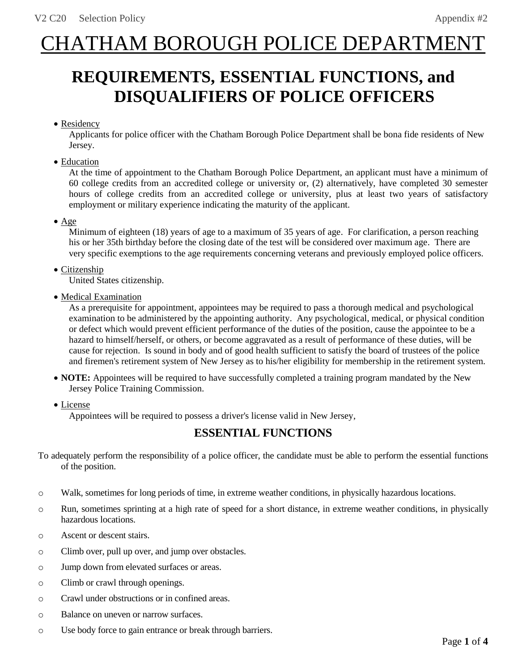# CHATHAM BOROUGH POLICE DEPARTMENT

## **REQUIREMENTS, ESSENTIAL FUNCTIONS, and DISQUALIFIERS OF POLICE OFFICERS**

## • Residency

Applicants for police officer with the Chatham Borough Police Department shall be bona fide residents of New Jersey.

• Education

At the time of appointment to the Chatham Borough Police Department, an applicant must have a minimum of 60 college credits from an accredited college or university or, (2) alternatively, have completed 30 semester hours of college credits from an accredited college or university, plus at least two years of satisfactory employment or military experience indicating the maturity of the applicant.

• Age

Minimum of eighteen (18) years of age to a maximum of 35 years of age. For clarification, a person reaching his or her 35th birthday before the closing date of the test will be considered over maximum age. There are very specific exemptions to the age requirements concerning veterans and previously employed police officers.

### • Citizenship

United States citizenship.

• Medical Examination

As a prerequisite for appointment, appointees may be required to pass a thorough medical and psychological examination to be administered by the appointing authority. Any psychological, medical, or physical condition or defect which would prevent efficient performance of the duties of the position, cause the appointee to be a hazard to himself/herself, or others, or become aggravated as a result of performance of these duties, will be cause for rejection. Is sound in body and of good health sufficient to satisfy the board of trustees of the police and firemen's retirement system of New Jersey as to his/her eligibility for membership in the retirement system.

- **NOTE:** Appointees will be required to have successfully completed a training program mandated by the New Jersey Police Training Commission.
- License

Appointees will be required to possess a driver's license valid in New Jersey,

## **ESSENTIAL FUNCTIONS**

To adequately perform the responsibility of a police officer, the candidate must be able to perform the essential functions of the position.

- o Walk, sometimes for long periods of time, in extreme weather conditions, in physically hazardous locations.
- o Run, sometimes sprinting at a high rate of speed for a short distance, in extreme weather conditions, in physically hazardous locations.
- o Ascent or descent stairs.
- o Climb over, pull up over, and jump over obstacles.
- o Jump down from elevated surfaces or areas.
- o Climb or crawl through openings.
- o Crawl under obstructions or in confined areas.
- o Balance on uneven or narrow surfaces.
- o Use body force to gain entrance or break through barriers.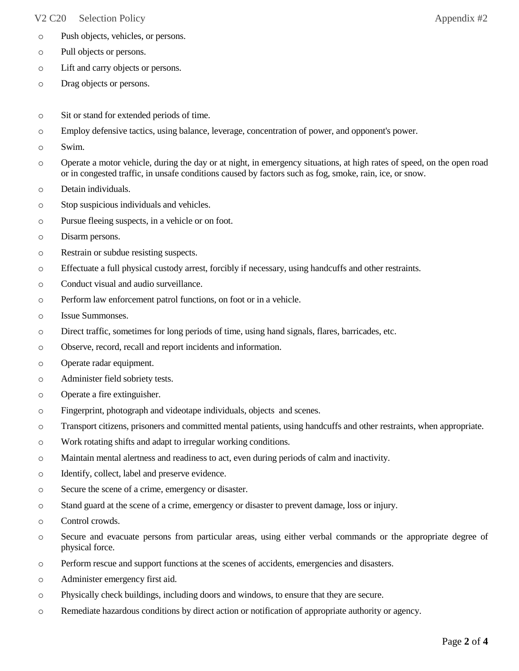#### V2 C20 Selection Policy Appendix #2

- o Push objects, vehicles, or persons.
- o Pull objects or persons.
- o Lift and carry objects or persons.
- o Drag objects or persons.
- o Sit or stand for extended periods of time.
- o Employ defensive tactics, using balance, leverage, concentration of power, and opponent's power.
- o Swim.
- o Operate a motor vehicle, during the day or at night, in emergency situations, at high rates of speed, on the open road or in congested traffic, in unsafe conditions caused by factors such as fog, smoke, rain, ice, or snow.
- o Detain individuals.
- o Stop suspicious individuals and vehicles.
- o Pursue fleeing suspects, in a vehicle or on foot.
- o Disarm persons.
- o Restrain or subdue resisting suspects.
- o Effectuate a full physical custody arrest, forcibly if necessary, using handcuffs and other restraints.
- o Conduct visual and audio surveillance.
- o Perform law enforcement patrol functions, on foot or in a vehicle.
- o Issue Summonses.
- o Direct traffic, sometimes for long periods of time, using hand signals, flares, barricades, etc.
- o Observe, record, recall and report incidents and information.
- o Operate radar equipment.
- o Administer field sobriety tests.
- o Operate a fire extinguisher.
- o Fingerprint, photograph and videotape individuals, objects and scenes.
- o Transport citizens, prisoners and committed mental patients, using handcuffs and other restraints, when appropriate.
- o Work rotating shifts and adapt to irregular working conditions.
- o Maintain mental alertness and readiness to act, even during periods of calm and inactivity.
- o Identify, collect, label and preserve evidence.
- o Secure the scene of a crime, emergency or disaster.
- o Stand guard at the scene of a crime, emergency or disaster to prevent damage, loss or injury.
- o Control crowds.
- o Secure and evacuate persons from particular areas, using either verbal commands or the appropriate degree of physical force.
- o Perform rescue and support functions at the scenes of accidents, emergencies and disasters.
- o Administer emergency first aid.
- o Physically check buildings, including doors and windows, to ensure that they are secure.
- o Remediate hazardous conditions by direct action or notification of appropriate authority or agency.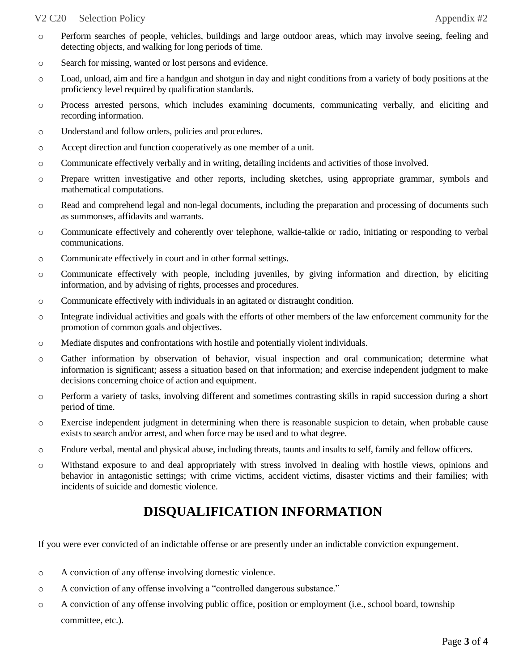#### V2 C20 Selection Policy Appendix #2

- o Perform searches of people, vehicles, buildings and large outdoor areas, which may involve seeing, feeling and detecting objects, and walking for long periods of time.
- o Search for missing, wanted or lost persons and evidence.
- o Load, unload, aim and fire a handgun and shotgun in day and night conditions from a variety of body positions at the proficiency level required by qualification standards.
- o Process arrested persons, which includes examining documents, communicating verbally, and eliciting and recording information.
- o Understand and follow orders, policies and procedures.
- o Accept direction and function cooperatively as one member of a unit.
- o Communicate effectively verbally and in writing, detailing incidents and activities of those involved.
- o Prepare written investigative and other reports, including sketches, using appropriate grammar, symbols and mathematical computations.
- o Read and comprehend legal and non-legal documents, including the preparation and processing of documents such as summonses, affidavits and warrants.
- o Communicate effectively and coherently over telephone, walkie-talkie or radio, initiating or responding to verbal communications.
- o Communicate effectively in court and in other formal settings.
- o Communicate effectively with people, including juveniles, by giving information and direction, by eliciting information, and by advising of rights, processes and procedures.
- o Communicate effectively with individuals in an agitated or distraught condition.
- o Integrate individual activities and goals with the efforts of other members of the law enforcement community for the promotion of common goals and objectives.
- o Mediate disputes and confrontations with hostile and potentially violent individuals.
- o Gather information by observation of behavior, visual inspection and oral communication; determine what information is significant; assess a situation based on that information; and exercise independent judgment to make decisions concerning choice of action and equipment.
- o Perform a variety of tasks, involving different and sometimes contrasting skills in rapid succession during a short period of time.
- o Exercise independent judgment in determining when there is reasonable suspicion to detain, when probable cause exists to search and/or arrest, and when force may be used and to what degree.
- o Endure verbal, mental and physical abuse, including threats, taunts and insults to self, family and fellow officers.
- o Withstand exposure to and deal appropriately with stress involved in dealing with hostile views, opinions and behavior in antagonistic settings; with crime victims, accident victims, disaster victims and their families; with incidents of suicide and domestic violence.

## **DISQUALIFICATION INFORMATION**

If you were ever convicted of an indictable offense or are presently under an indictable conviction expungement.

- o A conviction of any offense involving domestic violence.
- o A conviction of any offense involving a "controlled dangerous substance."
- o A conviction of any offense involving public office, position or employment (i.e., school board, township committee, etc.).